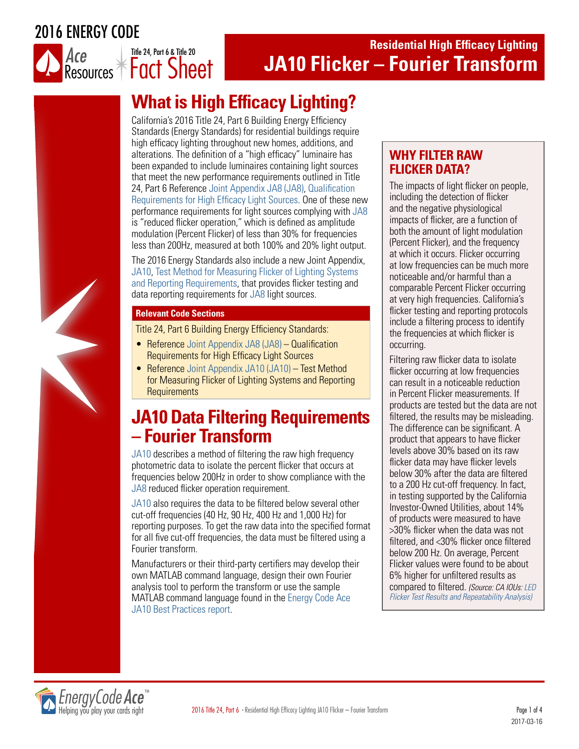2016 ENERGY CODE



## **Residential High Efficacy Lighting JA10 Flicker – Fourier Transform**

# **What is High Efficacy Lighting?**

California's 2016 Title 24, Part 6 Building Energy Efficiency Standards (Energy Standards) for residential buildings require high efficacy lighting throughout new homes, additions, and alterations. The definition of a "high efficacy" luminaire has been expanded to include luminaires containing light sources that meet the new performance requirements outlined in Title 24, Part 6 Reference [Joint Appendix JA8 \(JA8\), Qualification](http://energycodeace.com/site/custom/public/reference-ace-2016/index.html#!Documents/appendixja8qualificationrequirementsforhighefficacylightsources.htm)  [Requirements for High Efficacy Light Sources](http://energycodeace.com/site/custom/public/reference-ace-2016/index.html#!Documents/appendixja8qualificationrequirementsforhighefficacylightsources.htm). One of these new performance requirements for light sources complying with [JA8](http://energycodeace.com/site/custom/public/reference-ace-2016/index.html#!Documents/appendixja8qualificationrequirementsforhighefficacylightsources.htm) is "reduced flicker operation," which is defined as amplitude modulation (Percent Flicker) of less than 30% for frequencies less than 200Hz, measured at both 100% and 20% light output.

The 2016 Energy Standards also include a new Joint Appendix, [JA10, Test Method for Measuring Flicker of Lighting Systems](http://energycodeace.com/site/custom/public/reference-ace-2016/index.html#!Documents/appendixja10testmethodformeasuringflickeroflightingsystemsandrep.htm)  [and Reporting Requirements,](http://energycodeace.com/site/custom/public/reference-ace-2016/index.html#!Documents/appendixja10testmethodformeasuringflickeroflightingsystemsandrep.htm) that provides flicker testing and data reporting requirements for [JA8](http://energycodeace.com/site/custom/public/reference-ace-2016/index.html#!Documents/appendixja8qualificationrequirementsforhighefficacylightsources.htm) light sources.

#### **Relevant Code Sections**

Title 24, Part 6 & Title 20

Title 24, Part 6 Building Energy Efficiency Standards:

- Reference [Joint Appendix JA8 \(JA8\)](http://energycodeace.com/site/custom/public/reference-ace-2016/index.html#!Documents/appendixja8qualificationrequirementsforhighefficacylightsources.htm)  Qualification Requirements for High Efficacy Light Sources
- Reference [Joint Appendix JA10 \(JA10](http://energycodeace.com/site/custom/public/reference-ace-2016/index.html#!Documents/appendixja10testmethodformeasuringflickeroflightingsystemsandrep.htm)) Test Method for Measuring Flicker of Lighting Systems and Reporting **Requirements**

## **JA10 Data Filtering Requirements – Fourier Transform**

[JA10](http://energycodeace.com/site/custom/public/reference-ace-2016/index.html#!Documents/appendixja10testmethodformeasuringflickeroflightingsystemsandrep.htm) describes a method of filtering the raw high frequency photometric data to isolate the percent flicker that occurs at frequencies below 200Hz in order to show compliance with the [JA8](http://energycodeace.com/site/custom/public/reference-ace-2016/index.html#!Documents/appendixja8qualificationrequirementsforhighefficacylightsources.htm) reduced flicker operation requirement.

[JA10](http://energycodeace.com/site/custom/public/reference-ace-2016/index.html#!Documents/appendixja10testmethodformeasuringflickeroflightingsystemsandrep.htm) also requires the data to be filtered below several other cut-off frequencies (40 Hz, 90 Hz, 400 Hz and 1,000 Hz) for reporting purposes. To get the raw data into the specified format for all five cut-off frequencies, the data must be filtered using a Fourier transform.

Manufacturers or their third-party certifiers may develop their own MATLAB command language, design their own Fourier analysis tool to perform the transform or use the sample MATLAB command language found in the [Energy Code Ace](http://energycodeace.com/download/17579/file_path/fieldList/Report.BP.JA10%20Sample%20MATLAB%20Command.zip)  [JA10 Best Practices r](http://energycodeace.com/download/17579/file_path/fieldList/Report.BP.JA10%20Sample%20MATLAB%20Command.zip)eport.

### **WHY FILTER RAW FLICKER DATA?**

The impacts of light flicker on people, including the detection of flicker and the negative physiological impacts of flicker, are a function of both the amount of light modulation (Percent Flicker), and the frequency at which it occurs. Flicker occurring at low frequencies can be much more noticeable and/or harmful than a comparable Percent Flicker occurring at very high frequencies. California's flicker testing and reporting protocols include a filtering process to identify the frequencies at which flicker is occurring.

Filtering raw flicker data to isolate flicker occurring at low frequencies can result in a noticeable reduction in Percent Flicker measurements. If products are tested but the data are not filtered, the results may be misleading. The difference can be significant. A product that appears to have flicker levels above 30% based on its raw flicker data may have flicker levels below 30% after the data are filtered to a 200 Hz cut-off frequency. In fact, in testing supported by the California Investor-Owned Utilities, about 14% of products were measured to have >30% flicker when the data was not filtered, and <30% flicker once filtered below 200 Hz. On average, Percent Flicker values were found to be about 6% higher for unfiltered results as compared to filtered. *(Source: CA IOUs: [LED](http://docketpublic.energy.ca.gov/PublicDocuments/15-AAER-06/TN208928_20160122T163928_Michael_McGaraghan_Comments_CA_IOUs_LED_Flicker_Test_Results_an.pdf)  [Flicker Test Results and Repeatability Analysis\)](http://docketpublic.energy.ca.gov/PublicDocuments/15-AAER-06/TN208928_20160122T163928_Michael_McGaraghan_Comments_CA_IOUs_LED_Flicker_Test_Results_an.pdf)*

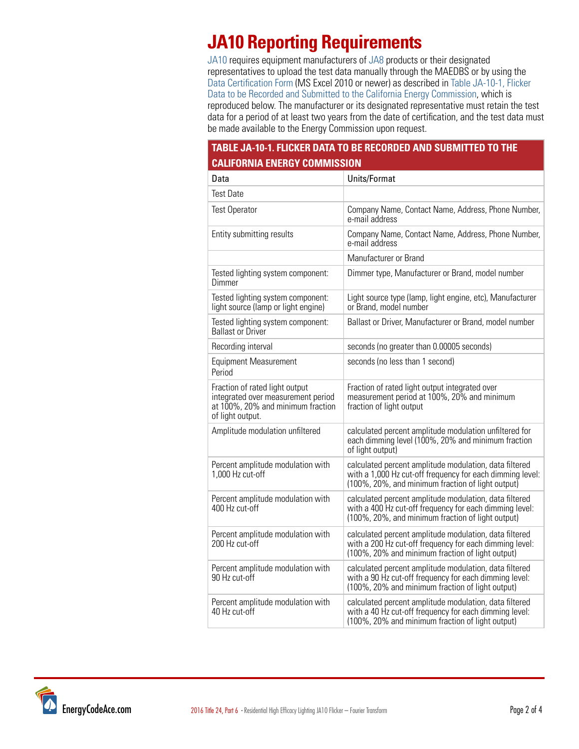# **JA10 Reporting Requirements**

[JA10](http://energycodeace.com/site/custom/public/reference-ace-2016/index.html#!Documents/appendixja10testmethodformeasuringflickeroflightingsystemsandrep.htm) requires equipment manufacturers of [JA8](http://energycodeace.com/site/custom/public/reference-ace-2016/index.html#!Documents/appendixja8qualificationrequirementsforhighefficacylightsources.htm) products or their designated representatives to upload the test data manually through the MAEDBS or by using the [Data Certification Form](http://www.energy.ca.gov/appliances/database/forms_instructions_cert/Lighting_Products/2016%20JA8%20High%20Efficacy%20Lighting%20(JEFF).zip) (MS Excel 2010 or newer) as described in [Table JA-10-1, Flicker](http://energycodeace.com/site/custom/public/reference-ace-2016/index.html#!Documents/ja107testreportanddataformat1.htm)  [Data to be Recorded and Submitted to the California Energy Commission](http://energycodeace.com/site/custom/public/reference-ace-2016/index.html#!Documents/ja107testreportanddataformat1.htm), which is reproduced below. The manufacturer or its designated representative must retain the test data for a period of at least two years from the date of certification, and the test data must be made available to the Energy Commission upon request.

### **TABLE JA-10-1. FLICKER DATA TO BE RECORDED AND SUBMITTED TO THE CALIFORNIA ENERGY COMMISSION**

| Data                                                                                                                          | Units/Format                                                                                                                                                             |
|-------------------------------------------------------------------------------------------------------------------------------|--------------------------------------------------------------------------------------------------------------------------------------------------------------------------|
| <b>Test Date</b>                                                                                                              |                                                                                                                                                                          |
| <b>Test Operator</b>                                                                                                          | Company Name, Contact Name, Address, Phone Number,<br>e-mail address                                                                                                     |
| Entity submitting results                                                                                                     | Company Name, Contact Name, Address, Phone Number,<br>e-mail address                                                                                                     |
|                                                                                                                               | Manufacturer or Brand                                                                                                                                                    |
| Tested lighting system component:<br>Dimmer                                                                                   | Dimmer type, Manufacturer or Brand, model number                                                                                                                         |
| Tested lighting system component:<br>light source (lamp or light engine)                                                      | Light source type (lamp, light engine, etc), Manufacturer<br>or Brand, model number                                                                                      |
| Tested lighting system component:<br><b>Ballast or Driver</b>                                                                 | Ballast or Driver, Manufacturer or Brand, model number                                                                                                                   |
| Recording interval                                                                                                            | seconds (no greater than 0.00005 seconds)                                                                                                                                |
| <b>Equipment Measurement</b><br>Period                                                                                        | seconds (no less than 1 second)                                                                                                                                          |
| Fraction of rated light output<br>integrated over measurement period<br>at 100%, 20% and minimum fraction<br>of light output. | Fraction of rated light output integrated over<br>measurement period at 100%, 20% and minimum<br>fraction of light output                                                |
| Amplitude modulation unfiltered                                                                                               | calculated percent amplitude modulation unfiltered for<br>each dimming level (100%, 20% and minimum fraction<br>of light output)                                         |
| Percent amplitude modulation with<br>1,000 Hz cut-off                                                                         | calculated percent amplitude modulation, data filtered<br>with a 1,000 Hz cut-off frequency for each dimming level:<br>(100%, 20%, and minimum fraction of light output) |
| Percent amplitude modulation with<br>400 Hz cut-off                                                                           | calculated percent amplitude modulation, data filtered<br>with a 400 Hz cut-off frequency for each dimming level:<br>(100%, 20%, and minimum fraction of light output)   |
| Percent amplitude modulation with<br>200 Hz cut-off                                                                           | calculated percent amplitude modulation, data filtered<br>with a 200 Hz cut-off frequency for each dimming level:<br>(100%, 20% and minimum fraction of light output)    |
| Percent amplitude modulation with<br>90 Hz cut-off                                                                            | calculated percent amplitude modulation, data filtered<br>with a 90 Hz cut-off frequency for each dimming level:<br>(100%, 20% and minimum fraction of light output)     |
| Percent amplitude modulation with<br>40 Hz cut-off                                                                            | calculated percent amplitude modulation, data filtered<br>with a 40 Hz cut-off frequency for each dimming level:<br>(100%, 20% and minimum fraction of light output)     |

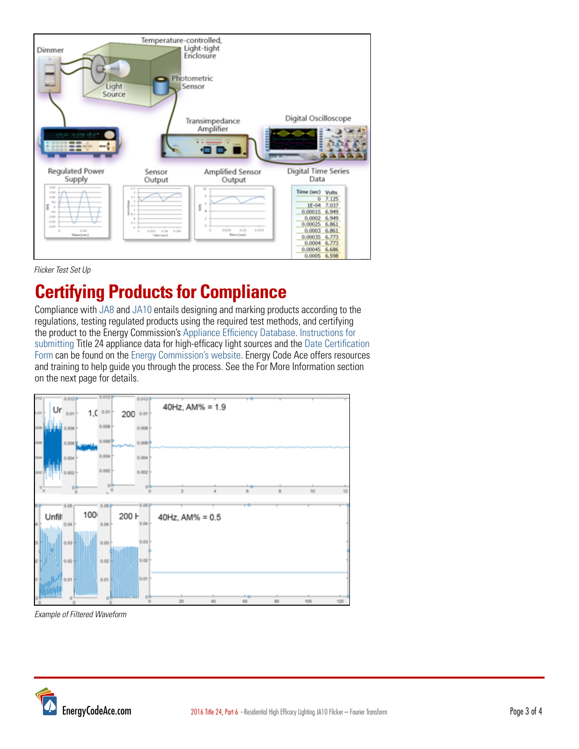

#### *Flicker Test Set Up*

# **Certifying Products for Compliance**

Compliance with [JA8](http://energycodeace.com/site/custom/public/reference-ace-2016/index.html#!Documents/appendixja8qualificationrequirementsforhighefficacylightsources.htm) and [JA10](http://energycodeace.com/site/custom/public/reference-ace-2016/index.html#!Documents/appendixja10testmethodformeasuringflickeroflightingsystemsandrep.htm) entails designing and marking products according to the regulations, testing regulated products using the required test methods, and certifying the product to the Energy Commission's [Appliance Efficiency Database](https://cacertappliances.energy.ca.gov/Pages/ApplianceSearch.aspx). [Instructions for](http://www.energy.ca.gov/appliances/database/forms_instructions_cert/Lighting_Products/2016%20JA8%20High%20Efficacy%20Lighting%20(JEFF).zip)  [submitting](http://www.energy.ca.gov/appliances/database/forms_instructions_cert/Lighting_Products/2016%20JA8%20High%20Efficacy%20Lighting%20(JEFF).zip) Title 24 appliance data for high-efficacy light sources and the Date Certification Form can be found on the [Energy Commission's website.](http://www.energy.ca.gov/appliances/database/forms_instructions_cert/Lighting_Products/) Energy Code Ace offers resources and training to help guide you through the process. See the For More Information section on the next page for details.



*Example of Filtered Waveform*